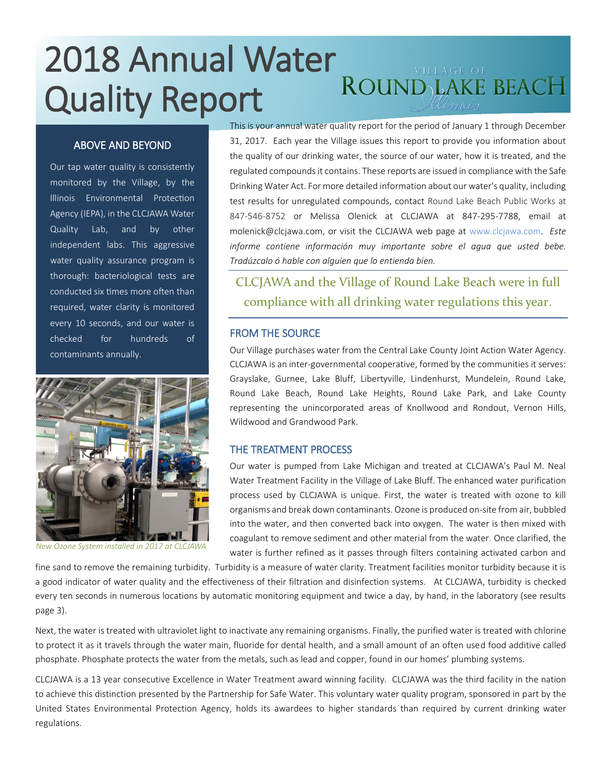# 2018 Annual Water<br>Cuality Repeat ROUND LAKE BEACH Quality Report

## ABOVE AND BEYOND

Our tap water quality is consistently monitored by the Village, by the Illinois Environmental Protection Agency (IEPA), in the CLCJAWA Water Quality Lab, and by other independent labs. This aggressive water quality assurance program is thorough: bacteriological tests are conducted six times more often than required, water clarity is monitored every 10 seconds, and our water is checked for hundreds of contaminants annually.



*New Ozone System installed in 2017 at CLCJAWA*

This is your annual water quality report for the period of January 1 through December 31, 2017. Each year the Village issues this report to provide you information about the quality of our drinking water, the source of our water, how it is treated, and the regulated compounds it contains. These reports are issued in compliance with the Safe Drinking Water Act. For more detailed information about our water's quality, including test results for unregulated compounds, contact Round Lake Beach Public Works at 847-546-8752 or Melissa Olenick at CLCJAWA at 847-295-7788, email at molenick@clcjawa.com, or visit the CLCJAWA web page at [www.clcjawa.com.](http://www.clcjawa.com/) *Este informe contiene informaciόn muy importante sobre el agua que usted bebe. Tradúzcalo ό hable con alguien que lo entienda bien.*

# CLCJAWA and the Village of Round Lake Beach were in full compliance with all drinking water regulations this year.

#### FROM THE SOURCE

Our Village purchases water from the Central Lake County Joint Action Water Agency. CLCJAWA is an inter-governmental cooperative, formed by the communities it serves: Grayslake, Gurnee, Lake Bluff, Libertyville, Lindenhurst, Mundelein, Round Lake, Round Lake Beach, Round Lake Heights, Round Lake Park, and Lake County representing the unincorporated areas of Knollwood and Rondout, Vernon Hills, Wildwood and Grandwood Park.

#### THE TREATMENT PROCESS

Our water is pumped from Lake Michigan and treated at CLCJAWA's Paul M. Neal Water Treatment Facility in the Village of Lake Bluff. The enhanced water purification process used by CLCJAWA is unique. First, the water is treated with ozone to kill organisms and break down contaminants. Ozone is produced on-site from air, bubbled into the water, and then converted back into oxygen. The water is then mixed with coagulant to remove sediment and other material from the water. Once clarified, the water is further refined as it passes through filters containing activated carbon and

fine sand to remove the remaining turbidity. Turbidity is a measure of water clarity. Treatment facilities monitor turbidity because it is a good indicator of water quality and the effectiveness of their filtration and disinfection systems. At CLCJAWA, turbidity is checked every ten seconds in numerous locations by automatic monitoring equipment and twice a day, by hand, in the laboratory (see results *every* ten seconds in numerous locations by automatic monitoring equipment and twice a d page 3).

Next, the water is treated with ultraviolet light to inactivate any remaining organisms. Finally, the purified water is treated with chlorine to protect it as it travels through the water main, fluoride for dental health, and a small amount of an often used food additive called phosphate. Phosphate protects the water from the metals, such as lead and copper, found in our homes' plumbing systems.

CLCJAWA is a 13 year consecutive Excellence in Water Treatment award winning facility. CLCJAWA was the third facility in the nation to achieve this distinction presented by the Partnership for Safe Water. This voluntary water quality program, sponsored in part by the United States Environmental Protection Agency, holds its awardees to higher standards than required by current drinking water regulations.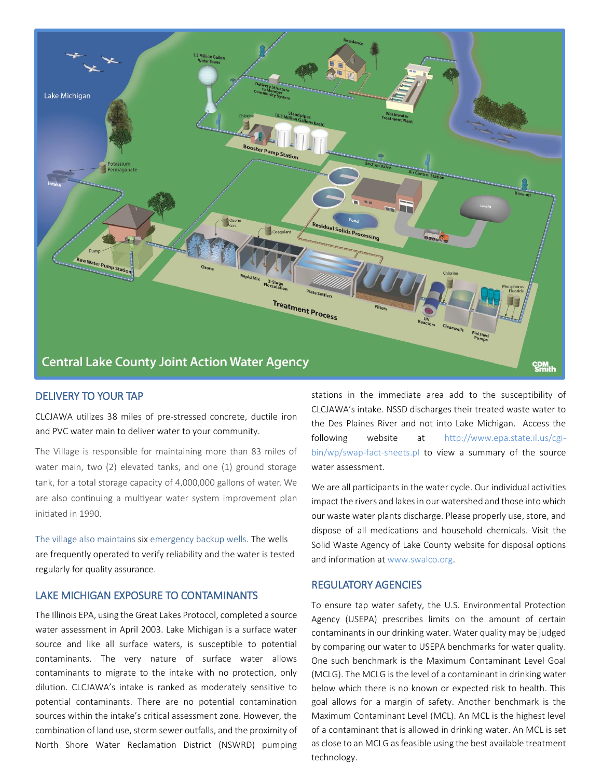

# DELIVERY TO YOUR TAP

CLCJAWA utilizes 38 miles of pre-stressed concrete, ductile iron and PVC water main to deliver water to your community.

The Village is responsible for maintaining more than 83 miles of water main, two (2) elevated tanks, and one (1) ground storage tank, for a total storage capacity of 4,000,000 gallons of water. We are also continuing a multiyear water system improvement plan initiated in 1990.

The village also maintains six emergency backup wells. The wells are frequently operated to verify reliability and the water is tested regularly for quality assurance.

## LAKE MICHIGAN EXPOSURE TO CONTAMINANTS

The Illinois EPA, using the Great Lakes Protocol, completed a source water assessment in April 2003. Lake Michigan is a surface water source and like all surface waters, is susceptible to potential contaminants. The very nature of surface water allows contaminants to migrate to the intake with no protection, only dilution. CLCJAWA's intake is ranked as moderately sensitive to potential contaminants. There are no potential contamination sources within the intake's critical assessment zone. However, the combination of land use, storm sewer outfalls, and the proximity of North Shore Water Reclamation District (NSWRD) pumping stations in the immediate area add to the susceptibility of CLCJAWA's intake. NSSD discharges their treated waste water to the Des Plaines River and not into Lake Michigan. Access the following website at [http://www.epa.state.il.us/cgi](http://www.epa.state.il.us/cgi-bin/wp/swap-fact-sheets.pl)[bin/wp/swap-fact-sheets.pl](http://www.epa.state.il.us/cgi-bin/wp/swap-fact-sheets.pl) to view a summary of the source water assessment.

We are all participants in the water cycle. Our individual activities impact the rivers and lakes in our watershed and those into which our waste water plants discharge. Please properly use, store, and dispose of all medications and household chemicals. Visit the Solid Waste Agency of Lake County website for disposal options and information at [www.swalco.org.](http://www.swalco.org/)

#### REGULATORY AGENCIES

To ensure tap water safety, the U.S. Environmental Protection Agency (USEPA) prescribes limits on the amount of certain contaminants in our drinking water. Water quality may be judged by comparing our water to USEPA benchmarks for water quality. One such benchmark is the Maximum Contaminant Level Goal (MCLG). The MCLG is the level of a contaminant in drinking water below which there is no known or expected risk to health. This goal allows for a margin of safety. Another benchmark is the Maximum Contaminant Level (MCL). An MCL is the highest level of a contaminant that is allowed in drinking water. An MCL is set as close to an MCLG as feasible using the best available treatment technology.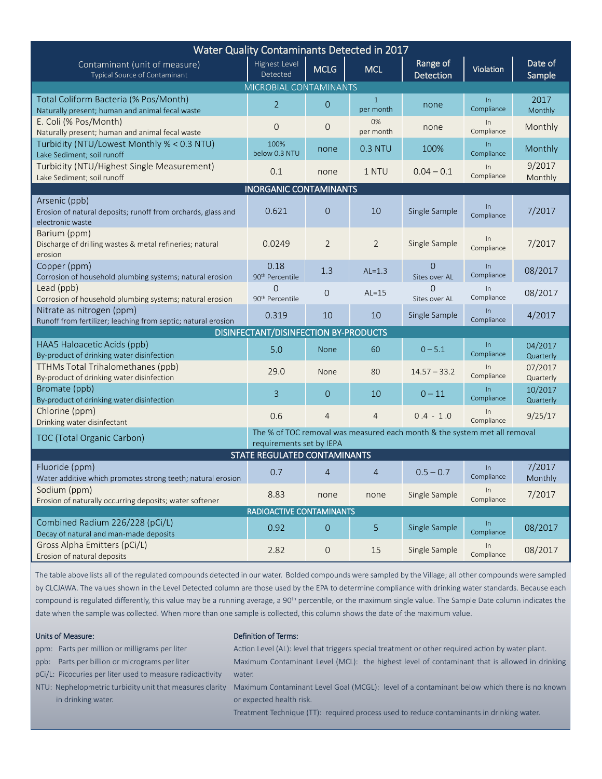| Water Quality Contaminants Detected in 2017                                                                                         |                                         |                     |                           |                              |                     |                      |
|-------------------------------------------------------------------------------------------------------------------------------------|-----------------------------------------|---------------------|---------------------------|------------------------------|---------------------|----------------------|
| Contaminant (unit of measure)<br>Typical Source of Contaminant                                                                      | Highest Level<br>Detected               | <b>MCLG</b>         | <b>MCL</b>                | Range of<br><b>Detection</b> | Violation           | Date of<br>Sample    |
| MICROBIAL CONTAMINANTS                                                                                                              |                                         |                     |                           |                              |                     |                      |
| Total Coliform Bacteria (% Pos/Month)<br>Naturally present; human and animal fecal waste                                            | $\overline{2}$                          | $\mathbf{O}$        | $\mathbf{1}$<br>per month | none                         | $\ln$<br>Compliance | 2017<br>Monthly      |
| E. Coli (% Pos/Month)<br>Naturally present; human and animal fecal waste                                                            | $\overline{O}$                          | $\mathbf 0$         | 0%<br>per month           | none                         | In<br>Compliance    | Monthly              |
| Turbidity (NTU/Lowest Monthly % < 0.3 NTU)<br>Lake Sediment; soil runoff                                                            | 100%<br>below 0.3 NTU                   | none                | 0.3 NTU                   | 100%                         | $\ln$<br>Compliance | Monthly              |
| Turbidity (NTU/Highest Single Measurement)<br>Lake Sediment; soil runoff                                                            | 0.1                                     | none                | 1 NTU                     | $0.04 - 0.1$                 | In<br>Compliance    | 9/2017<br>Monthly    |
| <b>INORGANIC CONTAMINANTS</b>                                                                                                       |                                         |                     |                           |                              |                     |                      |
| Arsenic (ppb)<br>Erosion of natural deposits; runoff from orchards, glass and<br>electronic waste                                   | 0.621                                   | $\overline{O}$      | 10                        | Single Sample                | In<br>Compliance    | 7/2017               |
| Barium (ppm)<br>Discharge of drilling wastes & metal refineries; natural<br>erosion                                                 | 0.0249                                  | $\overline{2}$      | $\overline{2}$            | Single Sample                | ln<br>Compliance    | 7/2017               |
| Copper (ppm)<br>Corrosion of household plumbing systems; natural erosion                                                            | 0.18<br>90 <sup>th</sup> Percentile     | 1.3                 | $AL=1.3$                  | 0<br>Sites over AL           | $\ln$<br>Compliance | 08/2017              |
| Lead (ppb)<br>Corrosion of household plumbing systems; natural erosion                                                              | $\Omega$<br>90 <sup>th</sup> Percentile | $\overline{0}$      | $AL=15$                   | 0<br>Sites over AL           | $\ln$<br>Compliance | 08/2017              |
| Nitrate as nitrogen (ppm)<br>Runoff from fertilizer; leaching from septic; natural erosion                                          | 0.319                                   | 10                  | 10                        | Single Sample                | $\ln$<br>Compliance | 4/2017               |
| DISINFECTANT/DISINFECTION BY-PRODUCTS                                                                                               |                                         |                     |                           |                              |                     |                      |
| HAA5 Haloacetic Acids (ppb)<br>By-product of drinking water disinfection                                                            | 5.0                                     | <b>None</b>         | 60                        | $0 - 5.1$                    | $\ln$<br>Compliance | 04/2017<br>Quarterly |
| TTHMs Total Trihalomethanes (ppb)<br>By-product of drinking water disinfection                                                      | 29.0                                    | None                | 80                        | $14.57 - 33.2$               | In<br>Compliance    | 07/2017<br>Quarterly |
| Bromate (ppb)<br>By-product of drinking water disinfection                                                                          | 3                                       | $\overline{0}$      | 10                        | $0 - 11$                     | $\ln$<br>Compliance | 10/2017<br>Quarterly |
| Chlorine (ppm)<br>Drinking water disinfectant                                                                                       | 0.6                                     | $\overline{4}$      | $\overline{4}$            | $0.4 - 1.0$                  | In<br>Compliance    | 9/25/17              |
| The % of TOC removal was measured each month & the system met all removal<br>TOC (Total Organic Carbon)<br>requirements set by IEPA |                                         |                     |                           |                              |                     |                      |
| STATE REGULATED CONTAMINANTS                                                                                                        |                                         |                     |                           |                              |                     |                      |
| Fluoride (ppm)<br>Water additive which promotes strong teeth; natural erosion                                                       | 0.7                                     | $\overline{4}$      | $\overline{4}$            | $0.5 - 0.7$                  | $\ln$<br>Compliance | 7/2017<br>Monthly    |
| Sodium (ppm)<br>Erosion of naturally occurring deposits; water softener                                                             | 8.83                                    | none                | none                      | Single Sample                | $\ln$<br>Compliance | 7/2017               |
| RADIOACTIVE CONTAMINANTS                                                                                                            |                                         |                     |                           |                              |                     |                      |
| Combined Radium 226/228 (pCi/L)<br>Decay of natural and man-made deposits                                                           | 0.92                                    | $\mathsf{O}\xspace$ | 5                         | Single Sample                | $\ln$<br>Compliance | 08/2017              |
| Gross Alpha Emitters (pCi/L)<br>Erosion of natural deposits                                                                         | 2.82                                    | $\mathbf 0$         | 15                        | Single Sample                | $\ln$<br>Compliance | 08/2017              |

The table above lists all of the regulated compounds detected in our water. Bolded compounds were sampled by the Village; all other compounds were sampled by CLCJAWA. The values shown in the Level Detected column are those used by the EPA to determine compliance with drinking water standards. Because each compound is regulated differently, this value may be a running average, a 90<sup>th</sup> percentile, or the maximum single value. The Sample Date column indicates the date when the sample was collected. When more than one sample is collected, this column shows the date of the maximum value.

#### Units of Measure:

#### Definition of Terms:

water.

- ppm: Parts per million or milligrams per liter
- ppb: Parts per billion or micrograms per liter
- pCi/L: Picocuries per liter used to measure radioactivity
- NTU: Nephelopmetric turbidity unit that measures clarity Maximum Contaminant Level Goal (MCGL): level of a contaminant below which there is no known in drinking water.
	- or expected health risk. Treatment Technique (TT): required process used to reduce contaminants in drinking water.

Action Level (AL): level that triggers special treatment or other required action by water plant. Maximum Contaminant Level (MCL): the highest level of contaminant that is allowed in drinking